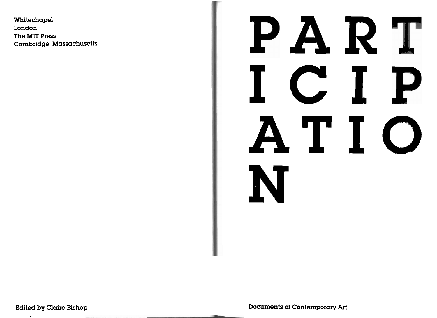**Whitechapel London The MIT Press** 

# Whitechapel<br>
London<br>
The MIT Press<br>
Cambridge, Massachusetts<br>
A Reported by Antarchief Cambridge, Massachusetts<br>
A Reported by Antarchief Cambridge, Massachusetts<br>
A Reported by Antarchief Cambridge, Massachusetts **ICI AT I0 N**

**I** 

**Edited by Claire Bishop Contemporary Art Contemporary Art Contemporary Art Contemporary Art Contemporary Art Contemporary Art Contemporary Art Contemporary Art Contemporary Art Contemporary Art Contemporary Art Contempora**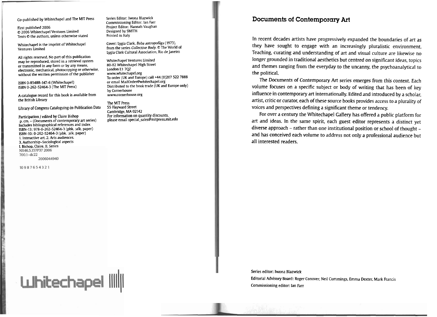Co-published by Whitechapel and The MIT Press

First published 2006 Q 2006 Whitechapel Ventures Limited Texts 0 the authors, unless otherwise stated

Whitechapel is the imprint of Whitechapel Ventures Limited

All rights reserved. No part of this publication may be reproduced, stored in a retrieval system or transmitted in any form or by any means. electronic, mechanical. photocopying or otherwise. without the written permission of the publisher

ISBN 0-85488-147-6 (Whitechapel) ISBN 0-262-52464-3 (The MIT Press)

A catalogue record for this book is available from the British Library

Library of Congress Cataloguing-in-Publication Data

Participation / edited by Claire Bishop For information on quantity discounts,<br>n cm = (Documents of contemporary art series) please email special\_sales@mitpress.mit.edu p. cm. - (Documents of contemporary art series) Includes bibliographical references and index ISBN-13: 978-0-262-52464-3 (pbk. :alk paper) ISBN-10: 0-262-52464-3 (pbk. :alk paper) 1. Interactive art. 2. Arts audiences. 3. Authorship-Sociological aspects I. Bishop. Claire. 11. Series  $700.1 - dc22$ 2006044940

**Whitechapel** III

10987654321

Series Editor: lwona Blazwick Commissioning Editor: Ian Farr Project Editor: Hannah Vaughan Designed by SMITH Printed in Italy

Cover: Lygia Clark, Baba antropofága (1973), from the series Collective Body. © The World of Lygia Clark Cultural Association. Rio de Janeiro

Whitechapel Ventures Limited 80-82 Whitechapel High Street London E1 70Z www.whitechapel.org To order (UK and Europe) call **+44** (0)207 522 7888 or email MailOrde@whitechapel.org Distributed to the book trade (UK and Europe only) by Cornerhouse www.cornerhouse.org

**The MIT Press<br>55 Hayward Street** Cambridge, MA 02142<br>For information on quantity discounts,

# **Documents of Contemporary Art**

In recent decades artists have progressively expanded the boundaries of art as they have sought to engage with an increasingly pluralistic environment. Teaching, curating and understanding of art and visual culture are likewise no longer grounded in traditional aesthetics but centred on significant ideas, topics and themes ranging from the everyday to the uncanny, the psychoanalytical to the political.

The Documents of Contemporary Art series emerges from this context. Each volume focuses on a specific subject or body of writing that has been of key influence in contemporary art internationally. Edited and introduced by a scholar, artist, critic or curator, each of these source books provides access to a plurality of voices and perspectives defining a significant theme or tendency.

For over a century the Whitechapel Gallery has offered a public platform for art and ideas. In the same spirit, each guest editor represents a distinct yet diverse approach - rather than one institutional position or school of thought and has conceived each volume to address not only a professional audience but all interested readers.

Series editor: lwona Blazwick Editorial Advisory Board: Roger Conover, Neil Cummings. Emma Dexter, Mark Francis Commissioning editor: Ian Farr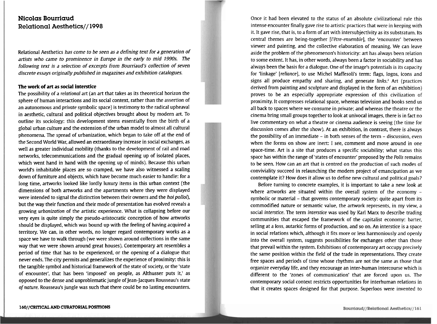# **Nicolas Bourriaud Relational Aesthetics// 1998**

Relational Aesthetics has come to be seen as a defining text for a generation of artists who came to prominence in Europe in the early to mid 7990s. The following text is a selection of excerpts from Bourriaud's collection of seven discrete essays originally published in magazines and exhibition catalogues.

## **The work of art as social interstice**

The possibility of a relational art (an art that takes as its theoretical horizon the sphere of human interactions and its social context, rather than the assertion of an autonomous and private symbolic space) is testimony to the radical upheaval in aesthetic, cultural and political objectives brought about by modern art. To outline its sociology: this development stems essentially from the birth of a global urban culture and the extension of the urban model to almost all cultural phenomena. The spread of urbanization, which began to take off at the end of the Second World War, allowed an extraordinary increase in social exchanges, as well as greater individual mobility (thanks to the development of rail and road networks, telecommunications and the gradual opening up of isolated places, which went hand in hand with the opening up of minds). Because this urban world's inhabitable places are so cramped, we have also witnessed a scaling down of furniture and objects, which have become much easier to handle: for a long time, artworks looked like lordly luxury items in this urban context (the dimensions of both artworks and the apartments where they were displayed were intended to signal the distinction between their owners and the hoi polloi), but the way their function and their mode of presentation has evolved reveals a growing urbanization of the artistic experience. What is collapsing before our very eyes is quite simply the pseudo-aristocratic conception of how artworks should be displayed, which was bound up with the feeling of having acquired a territory. We can, in other words, no longer regard contemporary works as a space we have to walk through (we were shown around collections in the same way that we were shown around great houses). Contemporary art resembles a period of time that has to be experienced, or the opening of a dialogue that never ends. The city permits and generalizes the experience of proximity: this is the tangible symbol and historical framework of the state of society, or the 'state of encounter', that has been 'imposed' on people, as Althusser puts it,' as opposed to the dense and unproblematic jungle of Jean-Jacques Rousseau's state of nature. Rousseau's jungle was such that there could be no lasting encounters.

Once it had been elevated to the status of an absolute civilizational rule this intense encounter finally gave rise to artistic practices that were in keeping with it. It gave rise, that is, to a form of art with intersubjectivity as its substratum. Its central themes are being-together [l'être-ensemble], the 'encounter' between viewer and painting, and the collective elaboration of meaning. We can leave aside the problem of the phenomenon's historicity: art has always been relation to some extent. It has, in other words. always been a factor in sociability and has always been the basis for a dialogue. One of the image's potentials is its capacity for 'linkage' [reliance], to use Michel Maffesoli's term: flags, logos, icons and signs all produce empathy and sharing, and generate  $links<sup>2</sup>$  Art (practices derived from painting and sculpture and displayed in the form of an exhibition) proves to be an especially appropriate expression of this civilization of proximity. It compresses relational space, whereas television and books send us all back to spaces where we consume in private; and whereas the theatre or the cinema bring small groups together to look at univocal images, there is in fact no live commentary on what a theatre or cinema audience is seeing (the time for discussion comes after the show). At an exhibition, in contrast, there is always the possibility of an immediate - in both senses of the term - discussion, even when the forms on show are inert: I see, comment and move around in one space-time. Art is a site that produces a specific sociability; what status this space has within the range of 'states of encounter' proposed by the Polis remains to be seen. How can an art that is centred on the production of such modes of conviviality succeed in relaunching the modern project of emancipation as we contemplate it? How does it allow us to define new cultural and political goals?

Before turning to concrete examples, it is important to take a new look at where artworks are situated within the overall system of the economy symbolic or material – that governs contemporary society: quite apart from its commodified nature or semantic value, the artwork represents, in my view, a social interstice. The term interstice was used by Karl Marx to describe trading communities that escaped the framework of the capitalist economy: barter, selling at a loss, autarkic forms of production, and so on. An interstice is a space in social relations which, although it fits more or less harmoniously and openly into the overall system, suggests possibilities for exchanges other than those that prevail within the system. Exhibitions of contemporary art occupy precisely the same position within the field of the trade in representations. They create free spaces and periods of time whose rhythms are not the same as those that organize everyday life, and they encourage an inter-human intercourse which is different to the 'zones of communication' that are forced upon us. The contemporary social context restricts opportunities for interhuman relations in that it creates spaces designed for that purpose. Superloos were invented to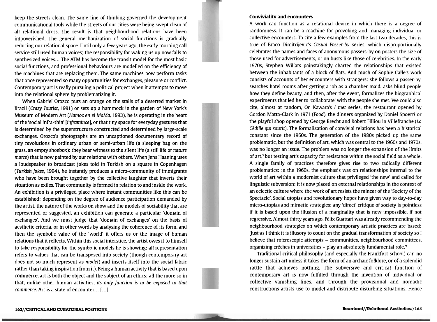keep the streets clean. The same line of thinking governed the development communicational tools while the streets of our cities were being swept clean of all relational dross. The result is that neighbourhood relations have been impoverished. The general mechanization of social functions is gradually reducing our relational space. Until only a few years ago, the early morning call service still used human voices; the responsibility for waking us up now falls to synthesized voices ... The ATM has become the transit model for the most basic social functions, and professional behaviours are modelled on the efficiency of the machines that are replacing them. The same machines now perform tasks that once represented so many opportunities for exchanges, pleasure or conflict. Contemporary art is really pursuing a political project when it attempts to move into the relational sphere by problematizing it.

When Gabriel Orozco puts an orange on the stalls of a deserted market in Brazil (Crazy Tourist, 1991) or sets up a hammock in the garden of New York's Museum of Modern Art (Hamoc en el MoMa, 1993). he is operating in the heart of the 'social infra-thin' [inframince], or that tiny space for everyday gestures that is determined by the superstructure constructed and determined by large-scale exchanges. Orozco's photographs are an uncaptioned documentary record of tiny revolutions in ordinary urban or semi-urban life (a sleeping bag on the grass, an empty shoebox): they bear witness to the silent life (a still life or nature morte) that is now painted by our relations with others. When Jens Haaning uses a loudspeaker to broadcast jokes told in Turkish on a square in Copenhagen (Turkish Jokes, 1994). he instantly produces a micro-community of immigrants who have been brought together by the collective laughter that inverts their situation as exiles. That community is formed in relation to and inside the work. An exhibition is a privileged place where instant communities like this can be established: depending on the degree of audience participation demanded by the artist, the nature of the works on show and the models of sociability that are represented or suggested, an exhibition can generate a particular 'domain of exchanges'. And we must judge that 'domain of exchanges' on the basis of aesthetic criteria, or in other words by analysing the coherence of its form, and then the symbolic value of the 'world' it offers us or the image of human relations that it reflects. Within this social interstice, the artist owes it to himself to take responsibility for the symbolic models he is showing: all representation refers to values that can be transposed into society (though contemporary art does not so much represent as model) and inserts itself into the social fabric rather than taking inspiration from it). Being a human activity that is based upon commerce, art is both the object and the subject of an ethics: all the more so in that, unlike other human activities, its only function is to be exposed to that  $commence.$  Art is a state of encounter...  $[...]$ 

#### **Conviviality and encounters**

A work can function as a relational device in which there is a degree of randomness. It can be a machine for provoking and managing individual or collective encounters. To cite a few examples from the last two decades, this is true of Braco Dimitrijevic's Casual Passer-by series, which disproportionally celebrates the names and faces of anonymous passers-by on posters the size of those used for advertisements, or on busts like those of celebrities. In the early 1970s. Stephen Willats painstakingly charted the relationships that existed between the inhabitants of a block of flats. And much of Sophie Calle's work consists of accounts of her encounters with strangers: she follows a passer-by, searches hotel rooms after getting a job as a chamber maid, asks blind people how they define beauty, and then, after the event, formalizes the biographical experiments that led her to 'collaborate' with the people she met. We could also cite, almost at random. On Kawara's 1 met series, the restaurant opened by Gordon Matta-Clark in 1971 (Food), the dinners organized by Daniel Spoerri or the playful shop opened by George Brecht and Robert Filliou in Villefranche (La Cedille qui sourit). The formalization of convivial relations has been a historical constant since the 1960s. The generation of the 1980s picked up the same problematic, but the definition of art, which was central to the 1960s and 1970s, was no longer an issue. The problem was no longer the expansion of the limits of  $art<sup>3</sup>$  but testing art's capacity for resistance within the social field as a whole. A single family of practices therefore gives rise to two radically different problematics: in the 1960s, the emphasis was on relationships internal to the world of art within a modernist culture that privileged 'the new' and called for linguistic subversion; it is now placed on external relationships in the context of an eclectic culture where the work of art resists the mincer of the 'Society of the Spectacle'. Social utopias and revolutionary hopes have given way to day-to-day micro-utopias and mimetic strategies: any 'direct' critique of society is pointless if it is based upon the illusion of a marginality that is now impossible, if not regressive. Almost thirty years ago, Felix Guattari was already recommending the neighbourhood strategies on which contemporary artistic practices are based: 'Just as I think it is illusory to count on the gradual transformation of society so I believe that microscopic attempts - communities, neighbourhood committees, organizing crèches in universities  $-$  play an absolutely fundamental role.<sup>4</sup>

Traditional critical philosophy (and especially the Frankfurt school) can no longer sustain art unless it takes the form of an archaic folklore, or of a splendid rattle that achieves nothing. The subversive and critical function of contemporary art is now fulfilled through the invention of individual or collective vanishing lines, and through the provisional and nomadic constructions artists use to model and distribute disturbing situations. Hence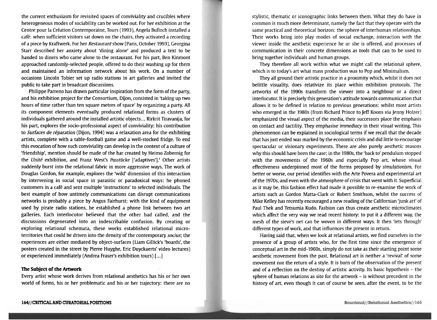the current enthusiasm for revisited spaces of conviviality and crucibles where heterogeneous modes of sociability can be worked out. For her exhibition at the Centre pour la Creation Contemporaine, Tours (1993), Angela Bulloch installed a cafe: when sufficient visitors sat down on the chairs, they activated a recording of a piece by Kraftwerk. For her Restaurant show (Paris, October 1993), Georgina Starr described her anxiety about 'dining alone' and produced a text to be handed to diners who came alone to the restaurant. For his part. Ben Kinmont approached randomly-selected people, offered to do their washing up for them and maintained an information network about his work. On a number of occasions Lincoln Tobier set up radio stations in art galleries and invited the public to take part in broadcast discussions.

Philippe Parreno has drawn particular inspiration from the form of the party, and his exhibition project for the Consortium, Dijon, consisted in 'taking up two hours of time rather than ten square metres of space' by organizing a party. All its component elements eventually produced relational forms as clusters of individuals gathered around the installed artistic objects ... Rirkrit Tiravanija, for his part, explores the socio-professional aspect of conviviality: his contribution to *Surfaces de réparation* (Dijon, 1994) was a relaxation area for the exhibiting artists, complete with a table-football game and a well-stocked fridge. To end this evocation of how such conviviality can develop in the context of a culture of 'friendship', mention should be made of the bar created by Heimo Zobernig for the *Unité* exhibition, and Franz West's Passtücke l'adaptives'l.<sup>5</sup> Other artists suddenly burst into the relational fabric in more aggressive ways. The work of Douglas Cordon, for example, explores the 'wild' dimension of this interaction by intervening in social space in parasitic or paradoxical ways: he phoned customers in a cafe and sent multiple 'instructions' to selected individuals. The best example of how untimely communications can disrupt communications networks is probably a piece by Angus Fairhurst: with the kind of equipment used by pirate radio stations, he established a phone link between two art galleries. Each interlocutor believed that the other had called, and the discussions degenerated into an indescribable confusion. By creating or exploring relational schemata, these works established relational microterritories that could be driven into the density of the contemporary socius; the experiences are either mediated by object-surfaces (Liam Cillick's 'boards', the posters created in the street by Pierre Huyghe, Eric Duyckaerts' video lectures) or experienced immediately (Andrea Fraser's exhibition tours) [...]

## **The Subject** of **the Artwork**

Every artist whose work derives from relational aesthetics has his or her own world of forms, his or her problematic and his or her trajectory: there are no stylistic, thematic or iconographic links between them. What they do have in common is much more determinant, namely the fact that they operate with the same practical and theoretical horizon: the sphere of interhuman relationships. Their works bring into play modes of social exchange, interaction with the viewer inside the aesthetic experience he or she is offered, and processes of communication in their concrete dimensions as tools that can to be used to bring together individuals and human groups.

They therefore all work within what we might call the relational sphere, which is to today's art what mass production was to Pop and Minimalism.

They all ground their artistic practice in a proximity which, whilst it does not belittle visuality, does relativize its place within exhibition protocols. The artworks of the 1990s transform the viewer into a neighbour or a direct interlocutor. It is precisely this generation's attitude towards communication that allows it to be defined in relation to previous generations: whilst most artists who emerged in the 1980s (from Richard Prince to Jeff Koons via Jenny Holzer) emphasized the visual aspect of the media, their successors place the emphasis on contact and tactility. They emphasise immediacy in their visual writing. This phenomenon can be explained in sociological terms if we recall that the decade that has just ended was marked by the economic crisis and did little to encourage spectacular or visionary experiments. There are also purely aesthetic reasons why this should have been the case; in the 1980s. the 'back to' pendulum stopped with the movements of the 1960s and especially Pop art, whose visual effectiveness underpinned most of the forms proposed by simulationism. For better or worse, our period identifies with the Arte Povera and experimental art of the 1970s. and even with the atmosphere of crisis that went with it. Superficial as it may be, this fashion effect had made it possible to re-examine the work of artists such as Gordon Matta-Clark or Robert Smithson, whilst the success of Mike Kelley has recently encouraged a new reading of the Californian 'junk art' of Paul Thek and Tetsumia Kudo. Fashion can thus create aesthetic microclimates which affect the very way we read recent history: to put it a different way, the mesh of the sieve's net can be woven in different ways. It then 'lets through' different types of work, and that influences the present in return.

Having said that, when we look at relational artists, we find ourselves in the presence of a group of artists who, for the first time since the emergence of conceptual art in the mid-1960s, simply do not take as their starting point some aesthetic movement from the past. Relational art is neither a 'revival' of some movement nor the return of a style. It is born of the observation of the present and of a reflection on the destiny of artistic activity. Its basic hypothesis  $-$  the sphere of human relations as site for the artwork - is without precedent in the history of art, even though it can of course be seen, after the event, to be the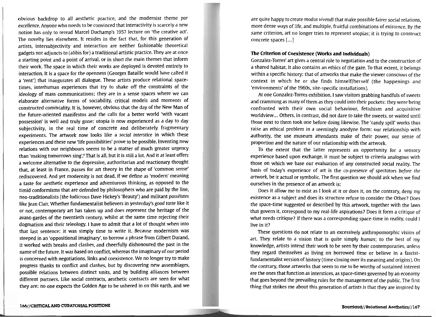obvious backdrop to all aesthetic practice, and the modernist theme par excellence. Anyone who needs to be convinced that interactivity is scarcely a new notion has only to reread Marcel Duchamp's 1957 lecture on 'the creative act'. The novelty lies elsewhere. It resides in the fact that, for this generation of artists, intersubjectivity and interaction are neither fashionable theoretical gadgets nor adjuncts to (alibis for) a traditional artistic practice. They are at once a starting point and a point of arrival, or in short the main themes that inform their work. The space in which their works are deployed is devoted entirely to interaction. It is a space for the openness (Georges Bataille would have called it a 'rent') that inaugurates all dialogue. These artists produce relational spacetimes, interhuman experiences that try to shake off the constraints of the ideology of mass communications: they are in a sense spaces where we can elaborate alternative forms of sociability, critical models and moments of constructed conviviality. It is, however, obvious that the day of the New Man of the future-oriented manifestos and the calls for a better world 'with vacant possession' is well and truly gone: utopia is now experienced as a day to day subjectivity, in the real time of concrete and deliberately fragmentary experiments. The artwork now looks like a social interstice in which these experiences and these new 'life possibilities' prove to be possible. Inventing new relations with our neighbours seems to be a matter of much greater urgency than 'making tomorrows sing'.6 That is all, but it is still a lot. And it at least offers a welcome alternative to the depressive, authoritarian and reactionary thought that, at least in France, passes for art theory in the shape of 'common sense' rediscovered. And yet modernity is not dead, if we define as 'modern' meaning a taste for aesthetic experience and adventurous thinking, as opposed to the timid conformisms that are defended by philosophers who are paid by the line, neo-traditionalists (the ludicrous Dave Hickey's 'Beauty') and militant passeistes like Jean Clair. Whether fundamentalist believers in yesterday's good taste like it or not, contemporary art has taken up and does represent the heritage of the avant-gardes of the twentieth century, whilst at the same time rejecting their dogmatism and their teleology. I have to admit that a lot of thought when into that last sentence: it was simply time to write it. Because modernism was steeped in an 'oppositional imaginary', to borrow a phrase from Gilbert Durand, it worked with breaks and clashes, and cheerfully dishonoured the past in the name of the future. It was based on conflict, whereas the imaginary of our period is concerned with negotiations, links and coexistence. We no longer try to make progress thanks to conflict and clashes, but by discovering new assemblages. possible relations between distinct units, and by building alliances between different partners. Like social contracts, aesthetic contracts are seen for what they are: no one expects the Golden Age to be ushered in on this earth, and we

are quite happy to create modus vivendi that make possible fairer social relations, more dense ways of life, and multiple, fruitful combinations of existence. By the same criterion, art no longer tries to represent utopias: it is trying to construct concrete spaces [...]

# **The Criterion of Coexistence (Works and Individuals)**

Gonzalez-Torres' art gives a central role to negotiation and to the construction of a shared habitat. It also contains an ethics of the gaze. To that extent, it belongs within a specific history: that of artworks that make the viewer conscious of the context in which he or she finds himself/herself (the happenings and 'environments' of the 1960s, site-specific installations).

At one Gonzalez-Torres exhibition, I saw visitors grabbing handfuls of sweets and cramming as many of them as they could into their pockets: they were being confronted with their own social behaviour, fetishism and acquisitive worldview ... Others, in contrast, did not dare to take the sweets, or waited until those next to them took one before doing likewise. The 'candy spill' works thus raise an ethical problem in a seemingly anodyne form: our relationship with authority, the use museum attendants make of their power, our sense of proportion and the nature of our relationship with the artwork.

To the extent that the latter represents an opportunity for a sensory experience based upon exchange, it must be subject to criteria analogous with those on which we base our evaluation of any constructed social reality. The basis of today's experience of art is the co-presence of spectators before the artwork, be it actual or symbolic. The first question we should ask when we find ourselves in the presence of an artwork is:

Does it allow me to exist as I look at it or does it, on the contrary, deny my existence as a subject and does its structure refuse to consider the Other? Does the space-time suggested or described by this artwork, together with the laws that govern it, correspond to my real-life aspirations? Does it form a critique of what needs critique? If there was a corresponding space-time in reality, could I live in it?

These questions do not relate to an excessively anthropomorphic vision of art. They relate to a vision that is quite simply human; to the best of my knowledge, artists intend their work to be seen by their contemporaries, unless they regard themselves as living on borrowed time or believe in a fascistfundamentalist version of history (time closing over its meaning and origins). On the contrary, those artworks that seem to me to be worthy of sustained interest are the ones that function as interstices, as space-times governed by an economy that goes beyond the prevailing rules for the management of the public. The first thing that strikes me about this generation of artists is that they are inspired by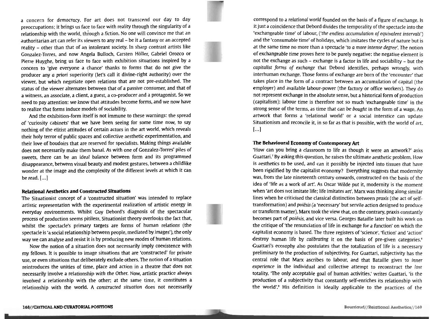a concern for democracy. For art does not transcend our day to day preoccupations; it brings us face to face with reality through the singularity of a relationship with the world, thiough a fiction. No one will convince me that an authoritarian art can refer its viewers to any real - be it a fantasy or an accepted reality - other than that of an intolerant society. In sharp contrast artists like Gonzalez-Torres, and now Angela Bulloch, Carsten Holler, Gabriel Orozco or Pierre Huyghe, bring us face to face with exhibition situations inspired by a concern to 'give everyone a chance' thanks to forms that do not give the producer any a priori superiority (let's call it divine-right authority) over the viewer, but which negotiate open relations that are not pre-established. The status of the viewer alternates between that of a passive consumer, and that of a witness, an associate, a client, a guest, a co-producer and a protagonist. So we need to pay attention: we know that attitudes become forms, and we now have to realize that forms induce models of sociability.

And the exhibition-form itself is not immune to these warnings: the spread of 'curiosity cabinets' that we have been seeing for some time now, to say nothing of the elitist attitudes of certain actors in the art world, which reveals their holy terror of public spaces and collective aesthetic experimentation, and their love of boudoirs that are reserved for specialists. Making things available does not necessarily make them banal. As with one of Gonzalez-Torres' piles of sweets, there can be an ideal balance between form and its programmed disappearance, between visual beauty and modest gestures, between a childlike wonder at the image and the complexity of the different levels at which it can be read. [...]

## **Relational Aesthetics and Constructed Situations**

The Situationist concept of a 'constructed situation' was intended to replace artistic representation with the experimental realization of artistic energy in everyday environments. Whilst Guy Debord's diagnosis of the spectacular process of production seems pitiless. Situationist theory overlooks the fact that. whilst the spectacle's primary targets are forms of human relations (the spectacle is 'a social relationship between people, mediated by images'), the only way we can analyse and resist it is by producing new modes of human relations.

Now the notion of a situation does not necessarily imply coexistence with my fellows. It is possible to image situations that are 'constructed' for private use, or even situations that deliberately exclude others. The notion of a situation reintroduces the unities of time, place and action in a theatre that does not necessarily involve a relationship with the Other. Now, artistic practice always involved a relationship with the other; at the same time, it constitutes a relationship with the world. **A** constructed situation does not necessarily

correspond to a relational world founded on the basis of a figure of exchange. Is it just a coincidence that Debord divides the temporality of the spectacle into the 'exchangeable time' of labour, ('the endless accumulation of equivalent intervals') and the 'consumable time' of holidays, which imitates the cycles of nature but is at the same time no more than a spectacle 'to a more intense degree'. The notion of exchangeable time proves here to be purely negative: the negative element is not the exchange as such - exchange is a factor in life and sociability - but the capitalist forms of exchange that Debord identifies, perhaps wrongly, with interhuman exchange. Those forms of exchange are born of the 'encounter' that takes place in the form of a contract between an accumulation of capital (the employer) and available labour-power (the factory or office workers). They do not represent exchange in the absolute sense, but a historical form of production (capitalism): labour time is therefore not so much 'exchangeable time' in the strong sense of the terms, as time that can be bought in the form of a wage. An artwork that forms a 'relational world' or a social interstice can update Situationism and reconcile it, in so far as that is possible, with the world of art. [.-.I

#### **The Behavioural Economy of Contemporary Art**

'How can you bring a classroom to life as though it were an artwork?' asks Guattari.<sup>7</sup> By asking this question, he raises the ultimate aesthetic problem. How is aesthetics to be used, and can it possibly be injected into tissues that have been rigidified by the capitalist economy? Everything suggests that modernity was, from the late nineteenth century onwards, constructed on the basis of the idea of 'life as a work of art'. As Oscar Wilde put it, modernity is the moment when 'art does not imitate life; life imitates art'. Marx was thinking along similar lines when he criticised the classical distinction between praxis (the act of selftransformation) and *poiêsis* (a 'necessary' but servile action designed to produce or transform matter). Marx took the view that, on the contrary, praxis constantly becomes part of *poiesis,* and vice versa. Georges Bataille later built his work on the critique of 'the renunciation of life in exchange for a function' on which the capitalist economy is based. The three registers of 'science', 'fiction' and 'action' destroy human life by calibrating it on the basis of pre-given categories." Guattari's ecosophy also postulates that the totalization of life is a necessary preliminary to the production of subjectivity. For Guattari, subjectivity has the central role that Marx ascribes to labour, and that Bataille gives to inner experience in the individual and collective attempt to reconstruct the lost totality. 'The only acceptable goal of human activities,' writes Guattari, 'is the production of a subjectivity that constantly self-enriches its relationship with the world'.<sup>9</sup> His definition is ideally applicable to the practices of the